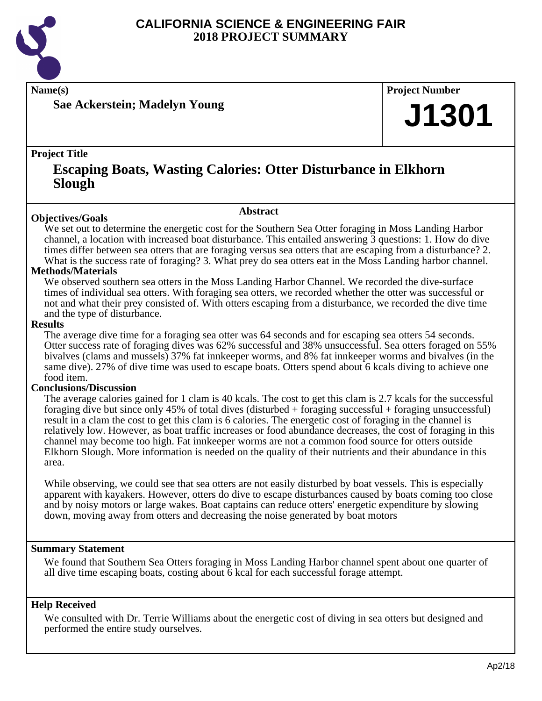

**Name(s) Project Number**

**Sae Ackerstein; Madelyn Young**

## **J1301**

#### **Project Title**

### **Escaping Boats, Wasting Calories: Otter Disturbance in Elkhorn Slough**

#### **Abstract**

**Objectives/Goals** We set out to determine the energetic cost for the Southern Sea Otter foraging in Moss Landing Harbor channel, a location with increased boat disturbance. This entailed answering 3 questions: 1. How do dive times differ between sea otters that are foraging versus sea otters that are escaping from a disturbance? 2. What is the success rate of foraging? 3. What prey do sea otters eat in the Moss Landing harbor channel.

#### **Methods/Materials**

We observed southern sea otters in the Moss Landing Harbor Channel. We recorded the dive-surface times of individual sea otters. With foraging sea otters, we recorded whether the otter was successful or not and what their prey consisted of. With otters escaping from a disturbance, we recorded the dive time and the type of disturbance.

#### **Results**

The average dive time for a foraging sea otter was 64 seconds and for escaping sea otters 54 seconds. Otter success rate of foraging dives was 62% successful and 38% unsuccessful. Sea otters foraged on 55% bivalves (clams and mussels) 37% fat innkeeper worms, and 8% fat innkeeper worms and bivalves (in the same dive). 27% of dive time was used to escape boats. Otters spend about 6 kcals diving to achieve one food item.

#### **Conclusions/Discussion**

The average calories gained for 1 clam is 40 kcals. The cost to get this clam is 2.7 kcals for the successful foraging dive but since only 45% of total dives (disturbed + foraging successful + foraging unsuccessful) result in a clam the cost to get this clam is 6 calories. The energetic cost of foraging in the channel is relatively low. However, as boat traffic increases or food abundance decreases, the cost of foraging in this channel may become too high. Fat innkeeper worms are not a common food source for otters outside Elkhorn Slough. More information is needed on the quality of their nutrients and their abundance in this area.

While observing, we could see that sea otters are not easily disturbed by boat vessels. This is especially apparent with kayakers. However, otters do dive to escape disturbances caused by boats coming too close and by noisy motors or large wakes. Boat captains can reduce otters' energetic expenditure by slowing down, moving away from otters and decreasing the noise generated by boat motors

#### **Summary Statement**

We found that Southern Sea Otters foraging in Moss Landing Harbor channel spent about one quarter of all dive time escaping boats, costing about 6 kcal for each successful forage attempt.

#### **Help Received**

We consulted with Dr. Terrie Williams about the energetic cost of diving in sea otters but designed and performed the entire study ourselves.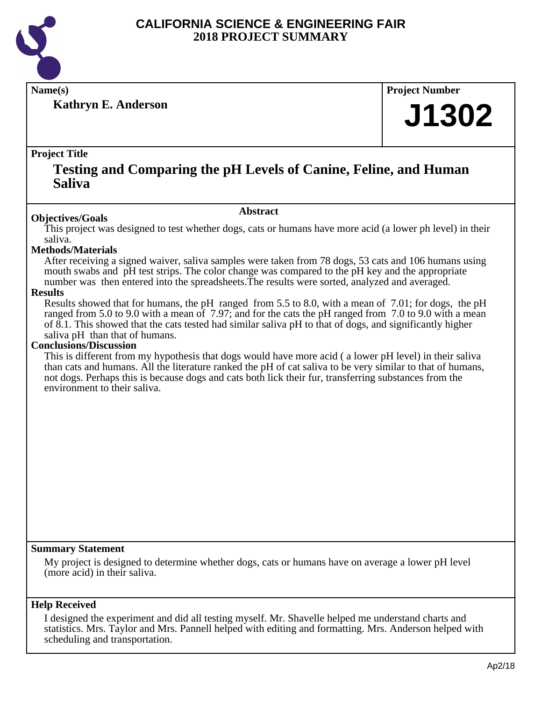

**Kathryn E. Anderson**

**Name(s) Project Number**

# **J1302**

#### **Project Title**

### **Testing and Comparing the pH Levels of Canine, Feline, and Human Saliva**

#### **Abstract**

**Objectives/Goals** This project was designed to test whether dogs, cats or humans have more acid (a lower ph level) in their saliva.

#### **Methods/Materials**

After receiving a signed waiver, saliva samples were taken from 78 dogs, 53 cats and 106 humans using mouth swabs and pH test strips. The color change was compared to the pH key and the appropriate number was then entered into the spreadsheets.The results were sorted, analyzed and averaged.

#### **Results**

Results showed that for humans, the pH ranged from 5.5 to 8.0, with a mean of 7.01; for dogs, the pH ranged from 5.0 to 9.0 with a mean of 7.97; and for the cats the pH ranged from 7.0 to 9.0 with a mean of 8.1. This showed that the cats tested had similar saliva pH to that of dogs, and significantly higher saliva pH than that of humans.

#### **Conclusions/Discussion**

This is different from my hypothesis that dogs would have more acid ( a lower pH level) in their saliva than cats and humans. All the literature ranked the pH of cat saliva to be very similar to that of humans, not dogs. Perhaps this is because dogs and cats both lick their fur, transferring substances from the environment to their saliva.

#### **Summary Statement**

My project is designed to determine whether dogs, cats or humans have on average a lower pH level (more acid) in their saliva.

#### **Help Received**

I designed the experiment and did all testing myself. Mr. Shavelle helped me understand charts and statistics. Mrs. Taylor and Mrs. Pannell helped with editing and formatting. Mrs. Anderson helped with scheduling and transportation.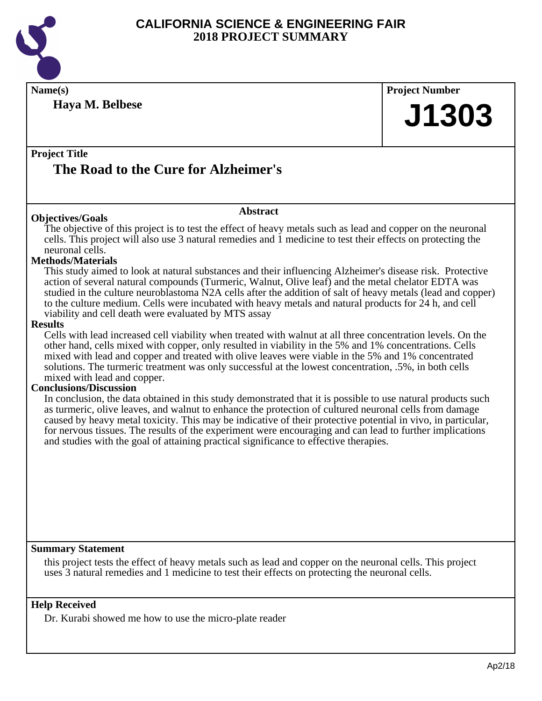

**Name(s) Project Number Project Title Abstract Summary Statement Haya M. Belbese The Road to the Cure for Alzheimer's J1303 Objectives/Goals** The objective of this project is to test the effect of heavy metals such as lead and copper on the neuronal cells. This project will also use 3 natural remedies and 1 medicine to test their effects on protecting the neuronal cells. **Methods/Materials** This study aimed to look at natural substances and their influencing Alzheimer's disease risk. Protective action of several natural compounds (Turmeric, Walnut, Olive leaf) and the metal chelator EDTA was studied in the culture neuroblastoma N2A cells after the addition of salt of heavy metals (lead and copper) to the culture medium. Cells were incubated with heavy metals and natural products for 24 h, and cell viability and cell death were evaluated by MTS assay **Results** Cells with lead increased cell viability when treated with walnut at all three concentration levels. On the other hand, cells mixed with copper, only resulted in viability in the 5% and 1% concentrations. Cells mixed with lead and copper and treated with olive leaves were viable in the 5% and 1% concentrated solutions. The turmeric treatment was only successful at the lowest concentration, .5%, in both cells mixed with lead and copper. **Conclusions/Discussion** In conclusion, the data obtained in this study demonstrated that it is possible to use natural products such as turmeric, olive leaves, and walnut to enhance the protection of cultured neuronal cells from damage caused by heavy metal toxicity. This may be indicative of their protective potential in vivo, in particular, for nervous tissues. The results of the experiment were encouraging and can lead to further implications and studies with the goal of attaining practical significance to effective therapies. this project tests the effect of heavy metals such as lead and copper on the neuronal cells. This project uses 3 natural remedies and 1 medicine to test their effects on protecting the neuronal cells.

#### **Help Received**

Dr. Kurabi showed me how to use the micro-plate reader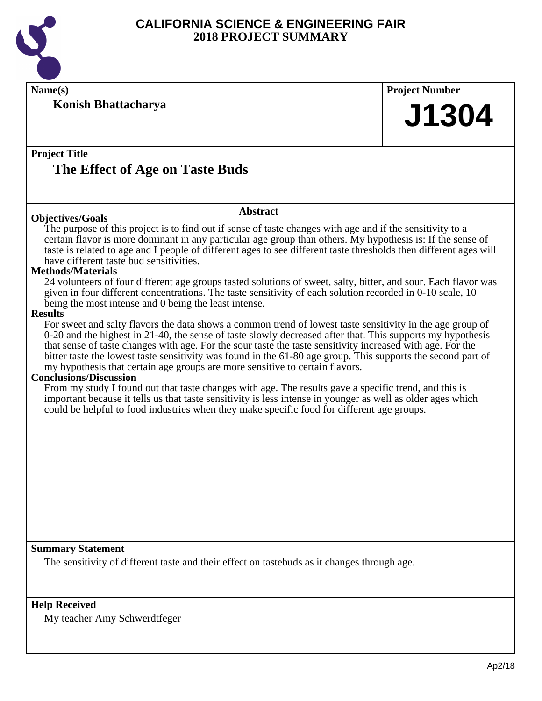

**Konish Bhattacharya**

**Name(s) Project Number**

## **J1304**

#### **Project Title The Effect of Age on Taste Buds**

#### **Objectives/Goals**

The purpose of this project is to find out if sense of taste changes with age and if the sensitivity to a certain flavor is more dominant in any particular age group than others. My hypothesis is: If the sense of taste is related to age and I people of different ages to see different taste thresholds then different ages will

**Abstract**

have different taste bud sensitivities.

#### **Methods/Materials**

24 volunteers of four different age groups tasted solutions of sweet, salty, bitter, and sour. Each flavor was given in four different concentrations. The taste sensitivity of each solution recorded in 0-10 scale, 10 being the most intense and 0 being the least intense.

#### **Results**

For sweet and salty flavors the data shows a common trend of lowest taste sensitivity in the age group of 0-20 and the highest in 21-40, the sense of taste slowly decreased after that. This supports my hypothesis that sense of taste changes with age. For the sour taste the taste sensitivity increased with age. For the bitter taste the lowest taste sensitivity was found in the 61-80 age group. This supports the second part of my hypothesis that certain age groups are more sensitive to certain flavors.

#### **Conclusions/Discussion**

From my study I found out that taste changes with age. The results gave a specific trend, and this is important because it tells us that taste sensitivity is less intense in younger as well as older ages which could be helpful to food industries when they make specific food for different age groups.

#### **Summary Statement**

The sensitivity of different taste and their effect on tastebuds as it changes through age.

#### **Help Received**

My teacher Amy Schwerdtfeger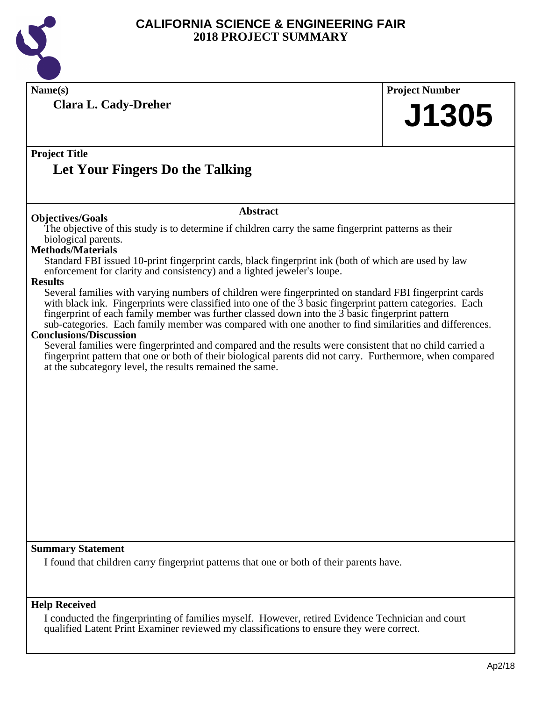

**Name(s) Project Number Project Title Abstract Summary Statement Help Received Clara L. Cady-Dreher Let Your Fingers Do the Talking J1305 Objectives/Goals** The objective of this study is to determine if children carry the same fingerprint patterns as their biological parents. **Methods/Materials** Standard FBI issued 10-print fingerprint cards, black fingerprint ink (both of which are used by law enforcement for clarity and consistency) and a lighted jeweler's loupe. **Results** Several families with varying numbers of children were fingerprinted on standard FBI fingerprint cards with black ink. Fingerprints were classified into one of the 3 basic fingerprint pattern categories. Each fingerprint of each family member was further classed down into the 3 basic fingerprint pattern sub-categories. Each family member was compared with one another to find similarities and differences. **Conclusions/Discussion** Several families were fingerprinted and compared and the results were consistent that no child carried a fingerprint pattern that one or both of their biological parents did not carry. Furthermore, when compared at the subcategory level, the results remained the same. I found that children carry fingerprint patterns that one or both of their parents have.

I conducted the fingerprinting of families myself. However, retired Evidence Technician and court qualified Latent Print Examiner reviewed my classifications to ensure they were correct.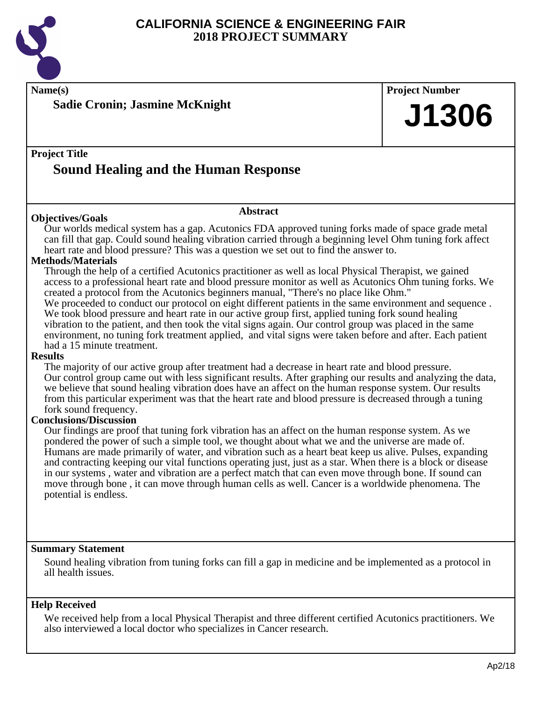

### **Name(s) Project Number Project Title Abstract Summary Statement Help Received Sadie Cronin; Jasmine McKnight Sound Healing and the Human Response J1306 Objectives/Goals** Our worlds medical system has a gap. Acutonics FDA approved tuning forks made of space grade metal can fill that gap. Could sound healing vibration carried through a beginning level Ohm tuning fork affect heart rate and blood pressure? This was a question we set out to find the answer to. **Methods/Materials** Through the help of a certified Acutonics practitioner as well as local Physical Therapist, we gained access to a professional heart rate and blood pressure monitor as well as Acutonics Ohm tuning forks. We created a protocol from the Acutonics beginners manual, "There's no place like Ohm." We proceeded to conduct our protocol on eight different patients in the same environment and sequence. We took blood pressure and heart rate in our active group first, applied tuning fork sound healing vibration to the patient, and then took the vital signs again. Our control group was placed in the same environment, no tuning fork treatment applied, and vital signs were taken before and after. Each patient had a 15 minute treatment. **Results** The majority of our active group after treatment had a decrease in heart rate and blood pressure. Our control group came out with less significant results. After graphing our results and analyzing the data, we believe that sound healing vibration does have an affect on the human response system. Our results from this particular experiment was that the heart rate and blood pressure is decreased through a tuning fork sound frequency. **Conclusions/Discussion** Our findings are proof that tuning fork vibration has an affect on the human response system. As we pondered the power of such a simple tool, we thought about what we and the universe are made of. Humans are made primarily of water, and vibration such as a heart beat keep us alive. Pulses, expanding and contracting keeping our vital functions operating just, just as a star. When there is a block or disease in our systems , water and vibration are a perfect match that can even move through bone. If sound can move through bone , it can move through human cells as well. Cancer is a worldwide phenomena. The potential is endless. Sound healing vibration from tuning forks can fill a gap in medicine and be implemented as a protocol in all health issues. We received help from a local Physical Therapist and three different certified Acutonics practitioners. We also interviewed a local doctor who specializes in Cancer research.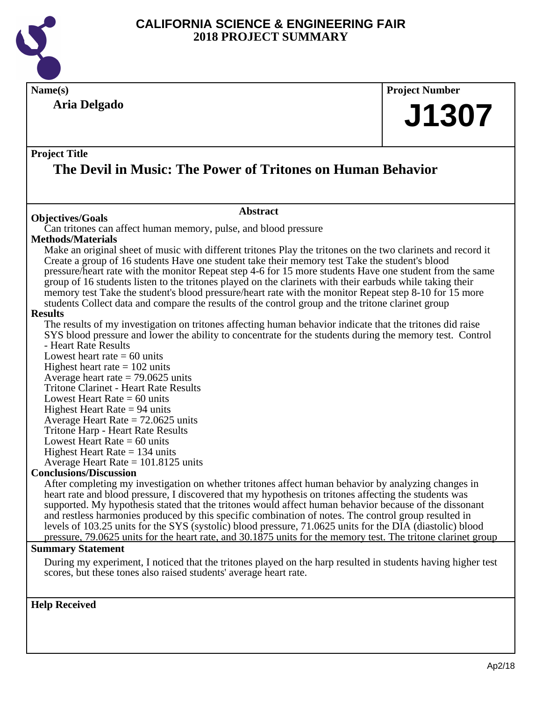

**Name(s) Project Number Project Title Abstract Summary Statement Aria Delgado The Devil in Music: The Power of Tritones on Human Behavior J1307 Objectives/Goals** Can tritones can affect human memory, pulse, and blood pressure **Methods/Materials** Make an original sheet of music with different tritones Play the tritones on the two clarinets and record it Create a group of 16 students Have one student take their memory test Take the student's blood pressure/heart rate with the monitor Repeat step 4-6 for 15 more students Have one student from the same group of 16 students listen to the tritones played on the clarinets with their earbuds while taking their memory test Take the student's blood pressure/heart rate with the monitor Repeat step 8-10 for 15 more students Collect data and compare the results of the control group and the tritone clarinet group **Results** The results of my investigation on tritones affecting human behavior indicate that the tritones did raise SYS blood pressure and lower the ability to concentrate for the students during the memory test. Control - Heart Rate Results Lowest heart rate  $= 60$  units Highest heart rate  $= 102$  units Average heart rate  $= 79.0625$  units Tritone Clarinet - Heart Rate Results Lowest Heart Rate  $= 60$  units Highest Heart Rate  $= 94$  units Average Heart Rate = 72.0625 units Tritone Harp - Heart Rate Results Lowest Heart Rate  $= 60$  units Highest Heart Rate  $= 134$  units Average Heart Rate = 101.8125 units **Conclusions/Discussion** After completing my investigation on whether tritones affect human behavior by analyzing changes in heart rate and blood pressure, I discovered that my hypothesis on tritones affecting the students was supported. My hypothesis stated that the tritones would affect human behavior because of the dissonant and restless harmonies produced by this specific combination of notes. The control group resulted in levels of 103.25 units for the SYS (systolic) blood pressure, 71.0625 units for the DIA (diastolic) blood pressure, 79.0625 units for the heart rate, and 30.1875 units for the memory test. The tritone clarinet group

During my experiment, I noticed that the tritones played on the harp resulted in students having higher test scores, but these tones also raised students' average heart rate.

**Help Received**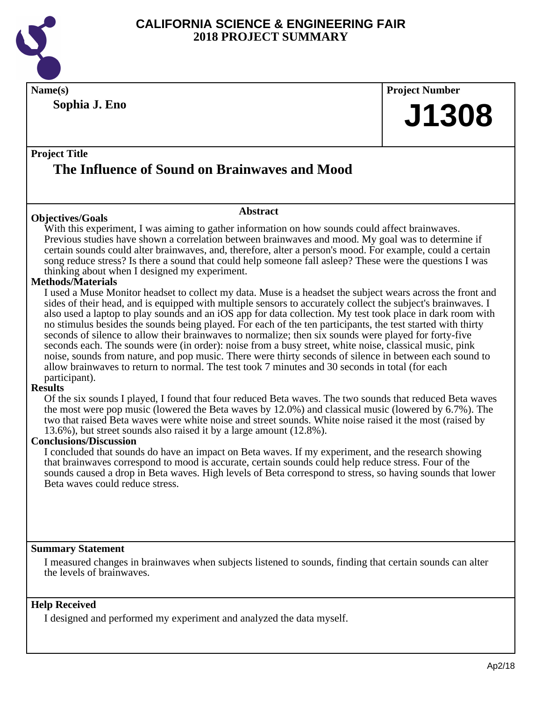

**Sophia J. Eno**

**Name(s) Project Number J1308**

#### **Project Title**

## **The Influence of Sound on Brainwaves and Mood**

#### **Objectives/Goals**

**Abstract**

With this experiment, I was aiming to gather information on how sounds could affect brainwaves. Previous studies have shown a correlation between brainwaves and mood. My goal was to determine if certain sounds could alter brainwaves, and, therefore, alter a person's mood. For example, could a certain song reduce stress? Is there a sound that could help someone fall asleep? These were the questions I was thinking about when I designed my experiment.

#### **Methods/Materials**

I used a Muse Monitor headset to collect my data. Muse is a headset the subject wears across the front and sides of their head, and is equipped with multiple sensors to accurately collect the subject's brainwaves. I also used a laptop to play sounds and an iOS app for data collection. My test took place in dark room with no stimulus besides the sounds being played. For each of the ten participants, the test started with thirty seconds of silence to allow their brainwaves to normalize; then six sounds were played for forty-five seconds each. The sounds were (in order): noise from a busy street, white noise, classical music, pink noise, sounds from nature, and pop music. There were thirty seconds of silence in between each sound to allow brainwaves to return to normal. The test took 7 minutes and 30 seconds in total (for each participant).

#### **Results**

Of the six sounds I played, I found that four reduced Beta waves. The two sounds that reduced Beta waves the most were pop music (lowered the Beta waves by 12.0%) and classical music (lowered by 6.7%). The two that raised Beta waves were white noise and street sounds. White noise raised it the most (raised by 13.6%), but street sounds also raised it by a large amount (12.8%).

#### **Conclusions/Discussion**

I concluded that sounds do have an impact on Beta waves. If my experiment, and the research showing that brainwaves correspond to mood is accurate, certain sounds could help reduce stress. Four of the sounds caused a drop in Beta waves. High levels of Beta correspond to stress, so having sounds that lower Beta waves could reduce stress.

#### **Summary Statement**

I measured changes in brainwaves when subjects listened to sounds, finding that certain sounds can alter the levels of brainwaves.

#### **Help Received**

I designed and performed my experiment and analyzed the data myself.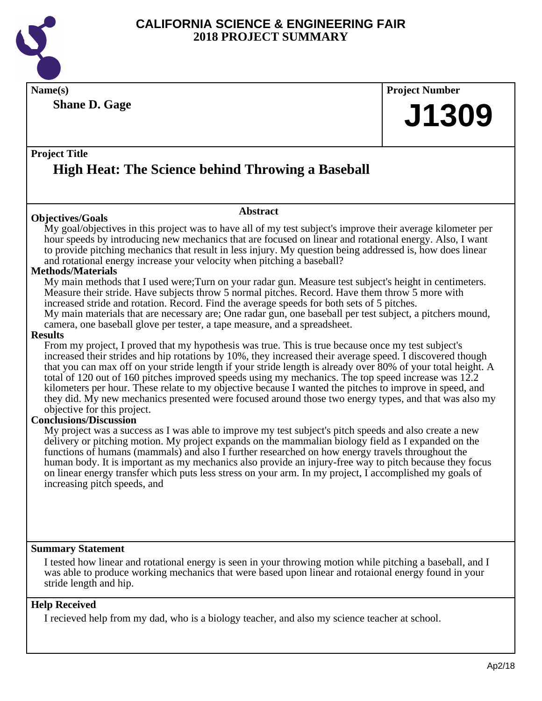

**Shane D. Gage**

## **Name(s) Project Number J1309**

#### **Project Title High Heat: The Science behind Throwing a Baseball**

#### **Objectives/Goals**

My goal/objectives in this project was to have all of my test subject's improve their average kilometer per hour speeds by introducing new mechanics that are focused on linear and rotational energy. Also, I want to provide pitching mechanics that result in less injury. My question being addressed is, how does linear and rotational energy increase your velocity when pitching a baseball?

**Abstract**

#### **Methods/Materials**

My main methods that I used were;Turn on your radar gun. Measure test subject's height in centimeters. Measure their stride. Have subjects throw 5 normal pitches. Record. Have them throw 5 more with increased stride and rotation. Record. Find the average speeds for both sets of 5 pitches. My main materials that are necessary are; One radar gun, one baseball per test subject, a pitchers mound,

camera, one baseball glove per tester, a tape measure, and a spreadsheet.

#### **Results**

From my project, I proved that my hypothesis was true. This is true because once my test subject's increased their strides and hip rotations by 10%, they increased their average speed. I discovered though that you can max off on your stride length if your stride length is already over 80% of your total height. A total of 120 out of 160 pitches improved speeds using my mechanics. The top speed increase was 12.2 kilometers per hour. These relate to my objective because I wanted the pitches to improve in speed, and they did. My new mechanics presented were focused around those two energy types, and that was also my objective for this project.

#### **Conclusions/Discussion**

My project was a success as I was able to improve my test subject's pitch speeds and also create a new delivery or pitching motion. My project expands on the mammalian biology field as I expanded on the functions of humans (mammals) and also I further researched on how energy travels throughout the human body. It is important as my mechanics also provide an injury-free way to pitch because they focus on linear energy transfer which puts less stress on your arm. In my project, I accomplished my goals of increasing pitch speeds, and

#### **Summary Statement**

I tested how linear and rotational energy is seen in your throwing motion while pitching a baseball, and I was able to produce working mechanics that were based upon linear and rotaional energy found in your stride length and hip.

#### **Help Received**

I recieved help from my dad, who is a biology teacher, and also my science teacher at school.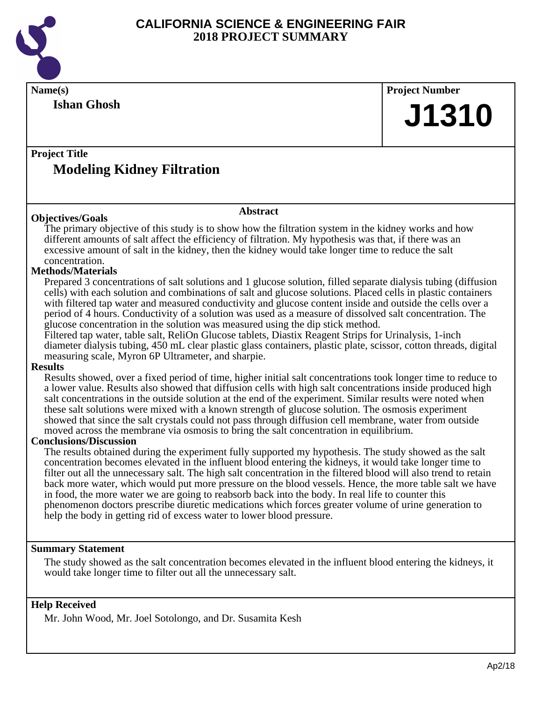

| Name(s)                                                                                                                                                                                                                                                                                                                                                                                                                                                                                                                                                                                                                                                                                                                                                                                                                                                                                                                                                                                                                                                                                                                                                                                                                                                                                                                                                                                                                                                                                                                                                                                                                                                                                                                                                                                                                                                                 | <b>Project Number</b> |  |
|-------------------------------------------------------------------------------------------------------------------------------------------------------------------------------------------------------------------------------------------------------------------------------------------------------------------------------------------------------------------------------------------------------------------------------------------------------------------------------------------------------------------------------------------------------------------------------------------------------------------------------------------------------------------------------------------------------------------------------------------------------------------------------------------------------------------------------------------------------------------------------------------------------------------------------------------------------------------------------------------------------------------------------------------------------------------------------------------------------------------------------------------------------------------------------------------------------------------------------------------------------------------------------------------------------------------------------------------------------------------------------------------------------------------------------------------------------------------------------------------------------------------------------------------------------------------------------------------------------------------------------------------------------------------------------------------------------------------------------------------------------------------------------------------------------------------------------------------------------------------------|-----------------------|--|
| <b>Ishan Ghosh</b>                                                                                                                                                                                                                                                                                                                                                                                                                                                                                                                                                                                                                                                                                                                                                                                                                                                                                                                                                                                                                                                                                                                                                                                                                                                                                                                                                                                                                                                                                                                                                                                                                                                                                                                                                                                                                                                      | J1310                 |  |
| <b>Project Title</b>                                                                                                                                                                                                                                                                                                                                                                                                                                                                                                                                                                                                                                                                                                                                                                                                                                                                                                                                                                                                                                                                                                                                                                                                                                                                                                                                                                                                                                                                                                                                                                                                                                                                                                                                                                                                                                                    |                       |  |
| <b>Modeling Kidney Filtration</b>                                                                                                                                                                                                                                                                                                                                                                                                                                                                                                                                                                                                                                                                                                                                                                                                                                                                                                                                                                                                                                                                                                                                                                                                                                                                                                                                                                                                                                                                                                                                                                                                                                                                                                                                                                                                                                       |                       |  |
| <b>Abstract</b><br><b>Objectives/Goals</b>                                                                                                                                                                                                                                                                                                                                                                                                                                                                                                                                                                                                                                                                                                                                                                                                                                                                                                                                                                                                                                                                                                                                                                                                                                                                                                                                                                                                                                                                                                                                                                                                                                                                                                                                                                                                                              |                       |  |
| The primary objective of this study is to show how the filtration system in the kidney works and how<br>different amounts of salt affect the efficiency of filtration. My hypothesis was that, if there was an<br>excessive amount of salt in the kidney, then the kidney would take longer time to reduce the salt<br>concentration.<br><b>Methods/Materials</b><br>Prepared 3 concentrations of salt solutions and 1 glucose solution, filled separate dialysis tubing (diffusion<br>cells) with each solution and combinations of salt and glucose solutions. Placed cells in plastic containers<br>with filtered tap water and measured conductivity and glucose content inside and outside the cells over a<br>period of 4 hours. Conductivity of a solution was used as a measure of dissolved salt concentration. The<br>glucose concentration in the solution was measured using the dip stick method.<br>Filtered tap water, table salt, ReliOn Glucose tablets, Diastix Reagent Strips for Urinalysis, 1-inch<br>diameter dialysis tubing, 450 mL clear plastic glass containers, plastic plate, scissor, cotton threads, digital<br>measuring scale, Myron 6P Ultrameter, and sharpie.<br><b>Results</b><br>Results showed, over a fixed period of time, higher initial salt concentrations took longer time to reduce to<br>a lower value. Results also showed that diffusion cells with high salt concentrations inside produced high<br>salt concentrations in the outside solution at the end of the experiment. Similar results were noted when<br>these salt solutions were mixed with a known strength of glucose solution. The osmosis experiment<br>showed that since the salt crystals could not pass through diffusion cell membrane, water from outside<br>moved across the membrane via osmosis to bring the salt concentration in equilibrium. |                       |  |
| <b>Conclusions/Discussion</b><br>The results obtained during the experiment fully supported my hypothesis. The study showed as the salt<br>concentration becomes elevated in the influent blood entering the kidneys, it would take longer time to<br>filter out all the unnecessary salt. The high salt concentration in the filtered blood will also trend to retain<br>back more water, which would put more pressure on the blood vessels. Hence, the more table salt we have<br>in food, the more water we are going to reabsorb back into the body. In real life to counter this<br>phenomenon doctors prescribe diuretic medications which forces greater volume of urine generation to<br>help the body in getting rid of excess water to lower blood pressure.                                                                                                                                                                                                                                                                                                                                                                                                                                                                                                                                                                                                                                                                                                                                                                                                                                                                                                                                                                                                                                                                                                 |                       |  |
| <b>Summary Statement</b>                                                                                                                                                                                                                                                                                                                                                                                                                                                                                                                                                                                                                                                                                                                                                                                                                                                                                                                                                                                                                                                                                                                                                                                                                                                                                                                                                                                                                                                                                                                                                                                                                                                                                                                                                                                                                                                |                       |  |
| The study showed as the salt concentration becomes elevated in the influent blood entering the kidneys, it<br>would take longer time to filter out all the unnecessary salt.                                                                                                                                                                                                                                                                                                                                                                                                                                                                                                                                                                                                                                                                                                                                                                                                                                                                                                                                                                                                                                                                                                                                                                                                                                                                                                                                                                                                                                                                                                                                                                                                                                                                                            |                       |  |
| <b>Help Received</b><br>Mr. John Wood, Mr. Joel Sotolongo, and Dr. Susamita Kesh                                                                                                                                                                                                                                                                                                                                                                                                                                                                                                                                                                                                                                                                                                                                                                                                                                                                                                                                                                                                                                                                                                                                                                                                                                                                                                                                                                                                                                                                                                                                                                                                                                                                                                                                                                                        |                       |  |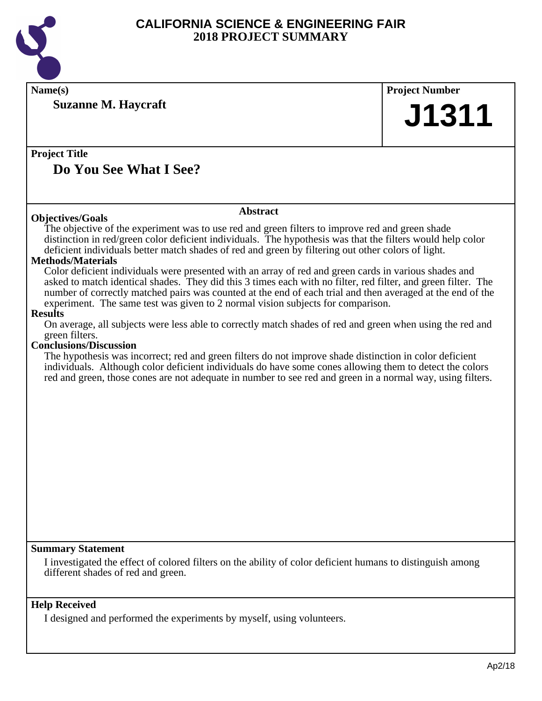

| Name(s)                                                                                                                                                                                                                                                                                                                                                                                                                                                                                                                                                                                                                                                                                 | <b>Project Number</b> |
|-----------------------------------------------------------------------------------------------------------------------------------------------------------------------------------------------------------------------------------------------------------------------------------------------------------------------------------------------------------------------------------------------------------------------------------------------------------------------------------------------------------------------------------------------------------------------------------------------------------------------------------------------------------------------------------------|-----------------------|
| <b>Suzanne M. Haycraft</b>                                                                                                                                                                                                                                                                                                                                                                                                                                                                                                                                                                                                                                                              | J1311                 |
|                                                                                                                                                                                                                                                                                                                                                                                                                                                                                                                                                                                                                                                                                         |                       |
| <b>Project Title</b>                                                                                                                                                                                                                                                                                                                                                                                                                                                                                                                                                                                                                                                                    |                       |
| Do You See What I See?                                                                                                                                                                                                                                                                                                                                                                                                                                                                                                                                                                                                                                                                  |                       |
|                                                                                                                                                                                                                                                                                                                                                                                                                                                                                                                                                                                                                                                                                         |                       |
| <b>Abstract</b><br><b>Objectives/Goals</b>                                                                                                                                                                                                                                                                                                                                                                                                                                                                                                                                                                                                                                              |                       |
| The objective of the experiment was to use red and green filters to improve red and green shade<br>distinction in red/green color deficient individuals. The hypothesis was that the filters would help color<br>deficient individuals better match shades of red and green by filtering out other colors of light.<br><b>Methods/Materials</b><br>Color deficient individuals were presented with an array of red and green cards in various shades and<br>asked to match identical shades. They did this 3 times each with no filter, red filter, and green filter. The<br>number of correctly matched pairs was counted at the end of each trial and then averaged at the end of the |                       |
| experiment. The same test was given to 2 normal vision subjects for comparison.<br><b>Results</b>                                                                                                                                                                                                                                                                                                                                                                                                                                                                                                                                                                                       |                       |
| On average, all subjects were less able to correctly match shades of red and green when using the red and<br>green filters.                                                                                                                                                                                                                                                                                                                                                                                                                                                                                                                                                             |                       |
| <b>Conclusions/Discussion</b><br>The hypothesis was incorrect; red and green filters do not improve shade distinction in color deficient<br>individuals. Although color deficient individuals do have some cones allowing them to detect the colors<br>red and green, those cones are not adequate in number to see red and green in a normal way, using filters.                                                                                                                                                                                                                                                                                                                       |                       |
|                                                                                                                                                                                                                                                                                                                                                                                                                                                                                                                                                                                                                                                                                         |                       |
|                                                                                                                                                                                                                                                                                                                                                                                                                                                                                                                                                                                                                                                                                         |                       |
|                                                                                                                                                                                                                                                                                                                                                                                                                                                                                                                                                                                                                                                                                         |                       |
|                                                                                                                                                                                                                                                                                                                                                                                                                                                                                                                                                                                                                                                                                         |                       |
|                                                                                                                                                                                                                                                                                                                                                                                                                                                                                                                                                                                                                                                                                         |                       |
|                                                                                                                                                                                                                                                                                                                                                                                                                                                                                                                                                                                                                                                                                         |                       |
|                                                                                                                                                                                                                                                                                                                                                                                                                                                                                                                                                                                                                                                                                         |                       |
|                                                                                                                                                                                                                                                                                                                                                                                                                                                                                                                                                                                                                                                                                         |                       |
| <b>Summary Statement</b>                                                                                                                                                                                                                                                                                                                                                                                                                                                                                                                                                                                                                                                                |                       |
| I investigated the effect of colored filters on the ability of color deficient humans to distinguish among<br>different shades of red and green.                                                                                                                                                                                                                                                                                                                                                                                                                                                                                                                                        |                       |
| <b>Help Received</b>                                                                                                                                                                                                                                                                                                                                                                                                                                                                                                                                                                                                                                                                    |                       |
| I designed and performed the experiments by myself, using volunteers.                                                                                                                                                                                                                                                                                                                                                                                                                                                                                                                                                                                                                   |                       |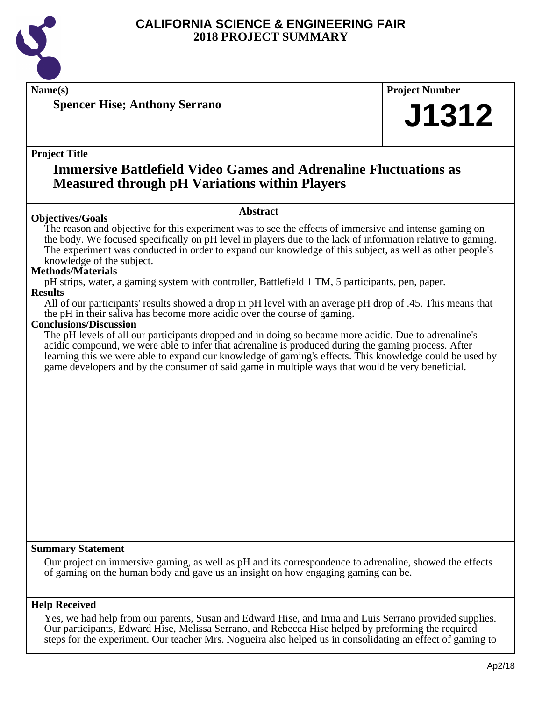

**Name(s) Project Number**

**Spencer Hise; Anthony Serrano**

#### **Project Title**

## **Immersive Battlefield Video Games and Adrenaline Fluctuations as Measured through pH Variations within Players**

#### **Objectives/Goals**

#### **Abstract**

The reason and objective for this experiment was to see the effects of immersive and intense gaming on the body. We focused specifically on pH level in players due to the lack of information relative to gaming. The experiment was conducted in order to expand our knowledge of this subject, as well as other people's knowledge of the subject.

#### **Methods/Materials**

pH strips, water, a gaming system with controller, Battlefield 1 TM, 5 participants, pen, paper. **Results**

All of our participants' results showed a drop in pH level with an average pH drop of .45. This means that the pH in their saliva has become more acidic over the course of gaming.

#### **Conclusions/Discussion**

The pH levels of all our participants dropped and in doing so became more acidic. Due to adrenaline's acidic compound, we were able to infer that adrenaline is produced during the gaming process. After learning this we were able to expand our knowledge of gaming's effects. This knowledge could be used by game developers and by the consumer of said game in multiple ways that would be very beneficial.

#### **Summary Statement**

Our project on immersive gaming, as well as pH and its correspondence to adrenaline, showed the effects of gaming on the human body and gave us an insight on how engaging gaming can be.

#### **Help Received**

Yes, we had help from our parents, Susan and Edward Hise, and Irma and Luis Serrano provided supplies. Our participants, Edward Hise, Melissa Serrano, and Rebecca Hise helped by preforming the required steps for the experiment. Our teacher Mrs. Nogueira also helped us in consolidating an effect of gaming to

**J1312**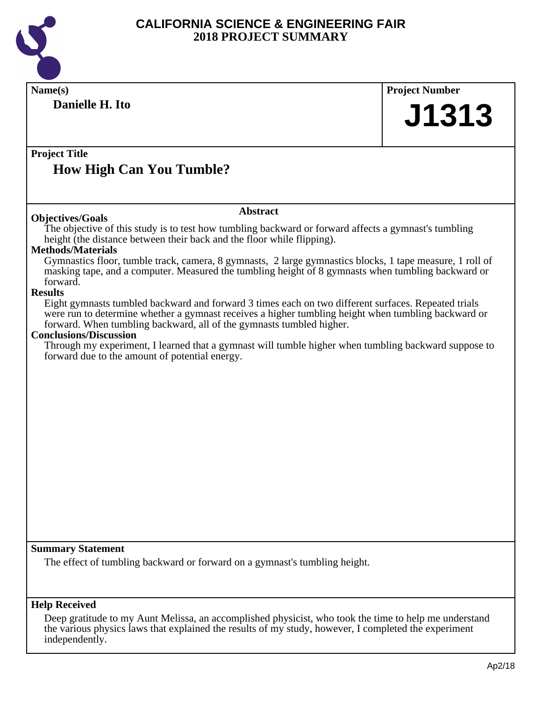

| Name(s)                                                                                                                                                                                                                                                                                                                               | <b>Project Number</b> |
|---------------------------------------------------------------------------------------------------------------------------------------------------------------------------------------------------------------------------------------------------------------------------------------------------------------------------------------|-----------------------|
| Danielle H. Ito                                                                                                                                                                                                                                                                                                                       | J1313                 |
| <b>Project Title</b>                                                                                                                                                                                                                                                                                                                  |                       |
| <b>How High Can You Tumble?</b>                                                                                                                                                                                                                                                                                                       |                       |
| <b>Abstract</b><br><b>Objectives/Goals</b>                                                                                                                                                                                                                                                                                            |                       |
| The objective of this study is to test how tumbling backward or forward affects a gymnast's tumbling<br>height (the distance between their back and the floor while flipping).<br><b>Methods/Materials</b>                                                                                                                            |                       |
| Gymnastics floor, tumble track, camera, 8 gymnasts, 2 large gymnastics blocks, 1 tape measure, 1 roll of<br>masking tape, and a computer. Measured the tumbling height of 8 gymnasts when tumbling backward or<br>forward.                                                                                                            |                       |
| <b>Results</b><br>Eight gymnasts tumbled backward and forward 3 times each on two different surfaces. Repeated trials<br>were run to determine whether a gymnast receives a higher tumbling height when tumbling backward or<br>forward. When tumbling backward, all of the gymnasts tumbled higher.<br><b>Conclusions/Discussion</b> |                       |
| Through my experiment, I learned that a gymnast will tumble higher when tumbling backward suppose to<br>forward due to the amount of potential energy.                                                                                                                                                                                |                       |
|                                                                                                                                                                                                                                                                                                                                       |                       |
|                                                                                                                                                                                                                                                                                                                                       |                       |
|                                                                                                                                                                                                                                                                                                                                       |                       |
|                                                                                                                                                                                                                                                                                                                                       |                       |
|                                                                                                                                                                                                                                                                                                                                       |                       |
|                                                                                                                                                                                                                                                                                                                                       |                       |
|                                                                                                                                                                                                                                                                                                                                       |                       |
| <b>Summary Statement</b>                                                                                                                                                                                                                                                                                                              |                       |
| The effect of tumbling backward or forward on a gymnast's tumbling height.                                                                                                                                                                                                                                                            |                       |
| <b>Help Received</b>                                                                                                                                                                                                                                                                                                                  |                       |
| Deep gratitude to my Aunt Melissa, an accomplished physicist, who took the time to help me understand<br>the various physics laws that explained the results of my study, however, I completed the experiment<br>independently.                                                                                                       |                       |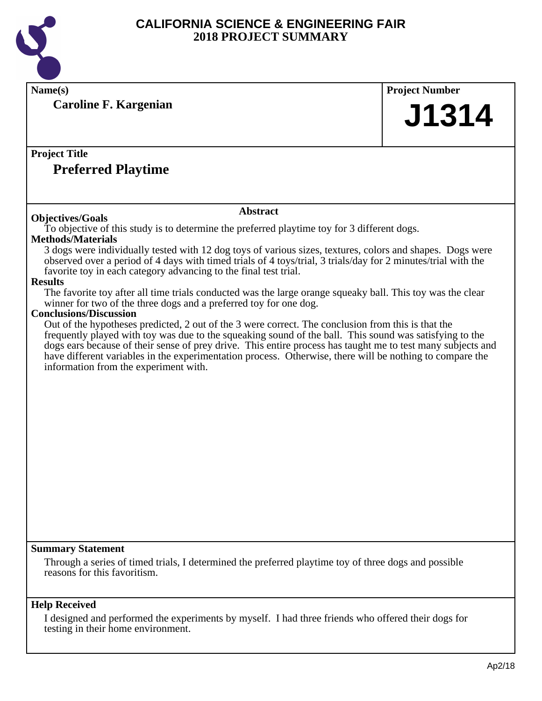

**Name(s) Project Number Caroline F. Kargenian**

## **Project Title**

### **Preferred Playtime**

#### **Objectives/Goals**

#### **Abstract**

To objective of this study is to determine the preferred playtime toy for 3 different dogs.

#### **Methods/Materials**

3 dogs were individually tested with 12 dog toys of various sizes, textures, colors and shapes. Dogs were observed over a period of 4 days with timed trials of 4 toys/trial, 3 trials/day for 2 minutes/trial with the favorite toy in each category advancing to the final test trial.

#### **Results**

The favorite toy after all time trials conducted was the large orange squeaky ball. This toy was the clear winner for two of the three dogs and a preferred toy for one dog.

#### **Conclusions/Discussion**

Out of the hypotheses predicted, 2 out of the 3 were correct. The conclusion from this is that the frequently played with toy was due to the squeaking sound of the ball. This sound was satisfying to the dogs ears because of their sense of prey drive. This entire process has taught me to test many subjects and have different variables in the experimentation process. Otherwise, there will be nothing to compare the information from the experiment with.

#### **Summary Statement**

Through a series of timed trials, I determined the preferred playtime toy of three dogs and possible reasons for this favoritism.

#### **Help Received**

I designed and performed the experiments by myself. I had three friends who offered their dogs for testing in their home environment.

**J1314**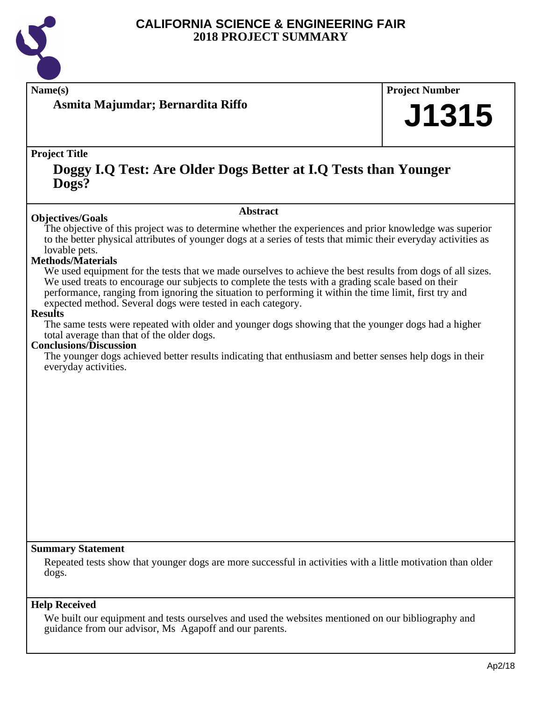

**Name(s) Project Number**

**Asmita Majumdar; Bernardita Riffo**

#### **Project Title**

## **Doggy I.Q Test: Are Older Dogs Better at I.Q Tests than Younger Dogs?**

#### **Abstract**

The objective of this project was to determine whether the experiences and prior knowledge was superior to the better physical attributes of younger dogs at a series of tests that mimic their everyday activities as lovable pets.

#### **Methods/Materials**

**Objectives/Goals**

We used equipment for the tests that we made ourselves to achieve the best results from dogs of all sizes. We used treats to encourage our subjects to complete the tests with a grading scale based on their performance, ranging from ignoring the situation to performing it within the time limit, first try and expected method. Several dogs were tested in each category.

#### **Results**

The same tests were repeated with older and younger dogs showing that the younger dogs had a higher total average than that of the older dogs.

#### **Conclusions/Discussion**

The younger dogs achieved better results indicating that enthusiasm and better senses help dogs in their everyday activities.

#### **Summary Statement**

Repeated tests show that younger dogs are more successful in activities with a little motivation than older dogs.

#### **Help Received**

We built our equipment and tests ourselves and used the websites mentioned on our bibliography and guidance from our advisor, Ms Agapoff and our parents.

**J1315**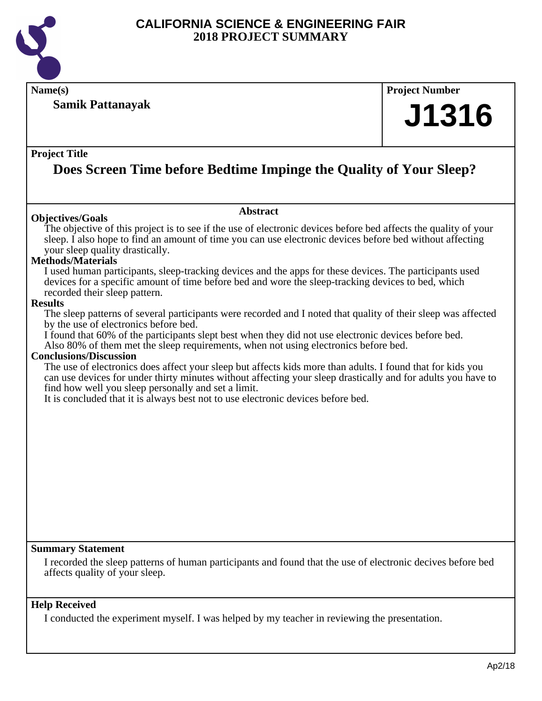

**Name(s) Project Number**

#### **Samik Pattanayak**

# **J1316**

#### **Project Title**

## **Does Screen Time before Bedtime Impinge the Quality of Your Sleep?**

**Abstract**

#### **Objectives/Goals**

The objective of this project is to see if the use of electronic devices before bed affects the quality of your sleep. I also hope to find an amount of time you can use electronic devices before bed without affecting your sleep quality drastically.

#### **Methods/Materials**

I used human participants, sleep-tracking devices and the apps for these devices. The participants used devices for a specific amount of time before bed and wore the sleep-tracking devices to bed, which recorded their sleep pattern.

#### **Results**

The sleep patterns of several participants were recorded and I noted that quality of their sleep was affected by the use of electronics before bed.

I found that 60% of the participants slept best when they did not use electronic devices before bed. Also 80% of them met the sleep requirements, when not using electronics before bed.

#### **Conclusions/Discussion**

The use of electronics does affect your sleep but affects kids more than adults. I found that for kids you can use devices for under thirty minutes without affecting your sleep drastically and for adults you have to find how well you sleep personally and set a limit.

It is concluded that it is always best not to use electronic devices before bed.

#### **Summary Statement**

I recorded the sleep patterns of human participants and found that the use of electronic decives before bed affects quality of your sleep.

#### **Help Received**

I conducted the experiment myself. I was helped by my teacher in reviewing the presentation.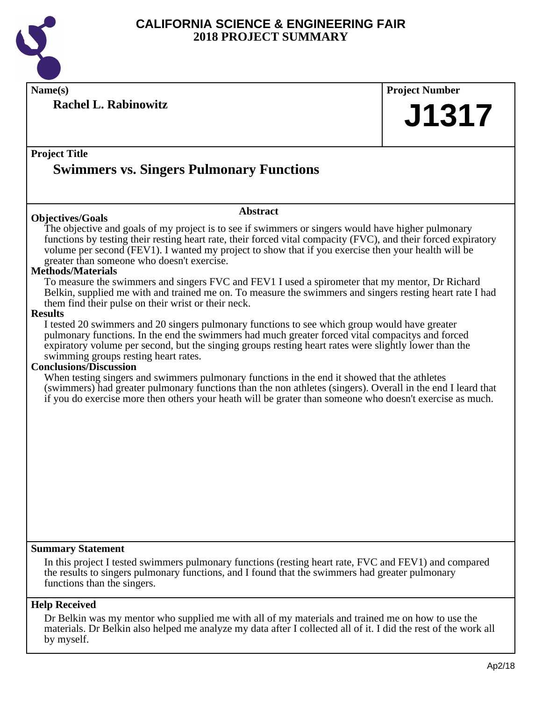

**Name(s) Project Number**

**Rachel L. Rabinowitz**

**J1317**

**Project Title**

## **Swimmers vs. Singers Pulmonary Functions**

#### **Objectives/Goals**

The objective and goals of my project is to see if swimmers or singers would have higher pulmonary functions by testing their resting heart rate, their forced vital compacity (FVC), and their forced expiratory volume per second (FEV1). I wanted my project to show that if you exercise then your health will be greater than someone who doesn't exercise.

**Abstract**

#### **Methods/Materials**

To measure the swimmers and singers FVC and FEV1 I used a spirometer that my mentor, Dr Richard Belkin, supplied me with and trained me on. To measure the swimmers and singers resting heart rate I had them find their pulse on their wrist or their neck.

#### **Results**

I tested 20 swimmers and 20 singers pulmonary functions to see which group would have greater pulmonary functions. In the end the swimmers had much greater forced vital compacitys and forced expiratory volume per second, but the singing groups resting heart rates were slightly lower than the swimming groups resting heart rates.

#### **Conclusions/Discussion**

When testing singers and swimmers pulmonary functions in the end it showed that the athletes (swimmers) had greater pulmonary functions than the non athletes (singers). Overall in the end I leard that if you do exercise more then others your heath will be grater than someone who doesn't exercise as much.

#### **Summary Statement**

In this project I tested swimmers pulmonary functions (resting heart rate, FVC and FEV1) and compared the results to singers pulmonary functions, and I found that the swimmers had greater pulmonary functions than the singers.

#### **Help Received**

Dr Belkin was my mentor who supplied me with all of my materials and trained me on how to use the materials. Dr Belkin also helped me analyze my data after I collected all of it. I did the rest of the work all by myself.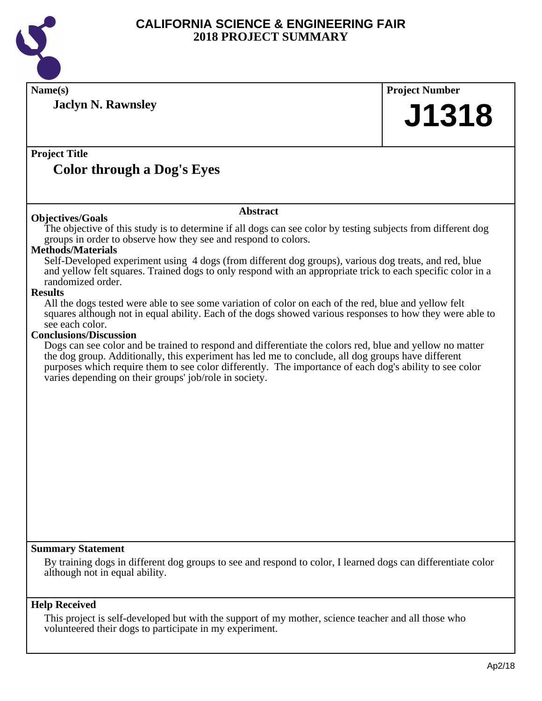

| Name(s)                                                                                                                                                           |                 | <b>Project Number</b> |
|-------------------------------------------------------------------------------------------------------------------------------------------------------------------|-----------------|-----------------------|
|                                                                                                                                                                   |                 |                       |
| <b>Jaclyn N. Rawnsley</b>                                                                                                                                         |                 | J1318                 |
|                                                                                                                                                                   |                 |                       |
|                                                                                                                                                                   |                 |                       |
| <b>Project Title</b>                                                                                                                                              |                 |                       |
| <b>Color through a Dog's Eyes</b>                                                                                                                                 |                 |                       |
|                                                                                                                                                                   |                 |                       |
|                                                                                                                                                                   | <b>Abstract</b> |                       |
| <b>Objectives/Goals</b>                                                                                                                                           |                 |                       |
| The objective of this study is to determine if all dogs can see color by testing subjects from different dog                                                      |                 |                       |
| groups in order to observe how they see and respond to colors.<br><b>Methods/Materials</b>                                                                        |                 |                       |
| Self-Developed experiment using 4 dogs (from different dog groups), various dog treats, and red, blue                                                             |                 |                       |
| and yellow felt squares. Trained dogs to only respond with an appropriate trick to each specific color in a                                                       |                 |                       |
| randomized order.<br><b>Results</b>                                                                                                                               |                 |                       |
| All the dogs tested were able to see some variation of color on each of the red, blue and yellow felt                                                             |                 |                       |
| squares although not in equal ability. Each of the dogs showed various responses to how they were able to                                                         |                 |                       |
| see each color.<br><b>Conclusions/Discussion</b>                                                                                                                  |                 |                       |
| Dogs can see color and be trained to respond and differentiate the colors red, blue and yellow no matter                                                          |                 |                       |
| the dog group. Additionally, this experiment has led me to conclude, all dog groups have different                                                                |                 |                       |
| purposes which require them to see color differently. The importance of each dog's ability to see color<br>varies depending on their groups' job/role in society. |                 |                       |
|                                                                                                                                                                   |                 |                       |
|                                                                                                                                                                   |                 |                       |
|                                                                                                                                                                   |                 |                       |
|                                                                                                                                                                   |                 |                       |
|                                                                                                                                                                   |                 |                       |
|                                                                                                                                                                   |                 |                       |
|                                                                                                                                                                   |                 |                       |
|                                                                                                                                                                   |                 |                       |
|                                                                                                                                                                   |                 |                       |
|                                                                                                                                                                   |                 |                       |
|                                                                                                                                                                   |                 |                       |
|                                                                                                                                                                   |                 |                       |
| <b>Summary Statement</b>                                                                                                                                          |                 |                       |
| By training dogs in different dog groups to see and respond to color, I learned dogs can differentiate color                                                      |                 |                       |
| although not in equal ability.                                                                                                                                    |                 |                       |
|                                                                                                                                                                   |                 |                       |
| <b>Help Received</b>                                                                                                                                              |                 |                       |

This project is self-developed but with the support of my mother, science teacher and all those who volunteered their dogs to participate in my experiment.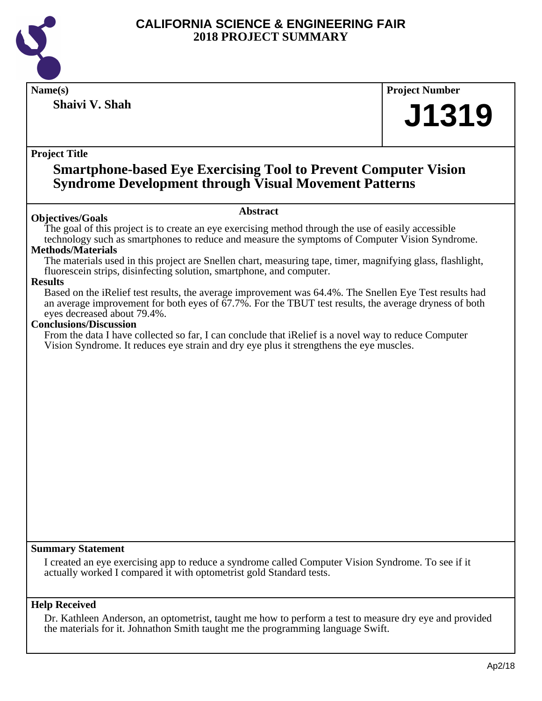

**Shaivi V. Shah**

**Name(s) Project Number**

# **J1319**

#### **Project Title**

### **Smartphone-based Eye Exercising Tool to Prevent Computer Vision Syndrome Development through Visual Movement Patterns**

#### **Objectives/Goals**

#### **Abstract**

The goal of this project is to create an eye exercising method through the use of easily accessible technology such as smartphones to reduce and measure the symptoms of Computer Vision Syndrome.

#### **Methods/Materials**

The materials used in this project are Snellen chart, measuring tape, timer, magnifying glass, flashlight, fluorescein strips, disinfecting solution, smartphone, and computer.

#### **Results**

Based on the iRelief test results, the average improvement was 64.4%. The Snellen Eye Test results had an average improvement for both eyes of 67.7%. For the TBUT test results, the average dryness of both eyes decreased about 79.4%.

#### **Conclusions/Discussion**

From the data I have collected so far, I can conclude that iRelief is a novel way to reduce Computer Vision Syndrome. It reduces eye strain and dry eye plus it strengthens the eye muscles.

#### **Summary Statement**

I created an eye exercising app to reduce a syndrome called Computer Vision Syndrome. To see if it actually worked I compared it with optometrist gold Standard tests.

#### **Help Received**

Dr. Kathleen Anderson, an optometrist, taught me how to perform a test to measure dry eye and provided the materials for it. Johnathon Smith taught me the programming language Swift.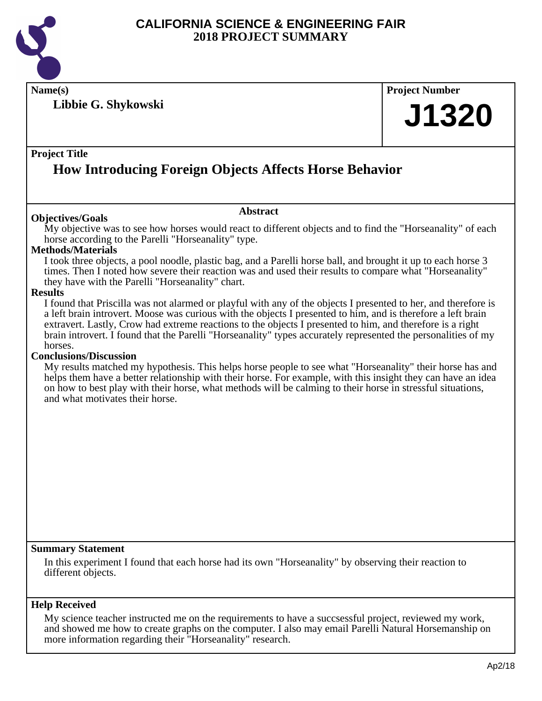

**Name(s) Project Number**

**Libbie G. Shykowski**

## **J1320**

#### **Project Title**

## **How Introducing Foreign Objects Affects Horse Behavior**

#### **Objectives/Goals**

My objective was to see how horses would react to different objects and to find the "Horseanality" of each horse according to the Parelli "Horseanality" type.

**Abstract**

#### **Methods/Materials**

I took three objects, a pool noodle, plastic bag, and a Parelli horse ball, and brought it up to each horse 3 times. Then I noted how severe their reaction was and used their results to compare what "Horseanality" they have with the Parelli "Horseanality" chart.

#### **Results**

I found that Priscilla was not alarmed or playful with any of the objects I presented to her, and therefore is a left brain introvert. Moose was curious with the objects I presented to him, and is therefore a left brain extravert. Lastly, Crow had extreme reactions to the objects I presented to him, and therefore is a right brain introvert. I found that the Parelli "Horseanality" types accurately represented the personalities of my horses.

#### **Conclusions/Discussion**

My results matched my hypothesis. This helps horse people to see what "Horseanality" their horse has and helps them have a better relationship with their horse. For example, with this insight they can have an idea on how to best play with their horse, what methods will be calming to their horse in stressful situations, and what motivates their horse.

#### **Summary Statement**

In this experiment I found that each horse had its own "Horseanality" by observing their reaction to different objects.

#### **Help Received**

My science teacher instructed me on the requirements to have a succsessful project, reviewed my work, and showed me how to create graphs on the computer. I also may email Parelli Natural Horsemanship on more information regarding their "Horseanality" research.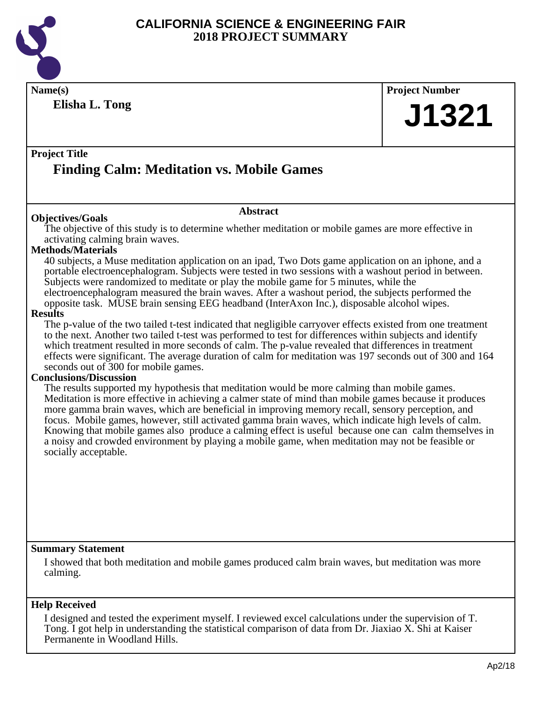

Permanente in Woodland Hills.

#### **CALIFORNIA SCIENCE & ENGINEERING FAIR 2018 PROJECT SUMMARY**

| Name(s)                                                                                                                                                                                                           | <b>Project Number</b> |  |
|-------------------------------------------------------------------------------------------------------------------------------------------------------------------------------------------------------------------|-----------------------|--|
| Elisha L. Tong                                                                                                                                                                                                    |                       |  |
|                                                                                                                                                                                                                   | <b>J1321</b>          |  |
|                                                                                                                                                                                                                   |                       |  |
| <b>Project Title</b>                                                                                                                                                                                              |                       |  |
| <b>Finding Calm: Meditation vs. Mobile Games</b>                                                                                                                                                                  |                       |  |
|                                                                                                                                                                                                                   |                       |  |
|                                                                                                                                                                                                                   |                       |  |
| <b>Abstract</b><br><b>Objectives/Goals</b>                                                                                                                                                                        |                       |  |
| The objective of this study is to determine whether meditation or mobile games are more effective in                                                                                                              |                       |  |
| activating calming brain waves.<br><b>Methods/Materials</b>                                                                                                                                                       |                       |  |
| 40 subjects, a Muse meditation application on an ipad, Two Dots game application on an iphone, and a                                                                                                              |                       |  |
| portable electroencephalogram. Subjects were tested in two sessions with a washout period in between.                                                                                                             |                       |  |
| Subjects were randomized to meditate or play the mobile game for 5 minutes, while the                                                                                                                             |                       |  |
| electroencephalogram measured the brain waves. After a washout period, the subjects performed the<br>opposite task. MUSE brain sensing EEG headband (InterAxon Inc.), disposable alcohol wipes.                   |                       |  |
| <b>Results</b>                                                                                                                                                                                                    |                       |  |
| The p-value of the two tailed t-test indicated that negligible carryover effects existed from one treatment                                                                                                       |                       |  |
| to the next. Another two tailed t-test was performed to test for differences within subjects and identify<br>which treatment resulted in more seconds of calm. The p-value revealed that differences in treatment |                       |  |
| effects were significant. The average duration of calm for meditation was 197 seconds out of 300 and 164                                                                                                          |                       |  |
| seconds out of 300 for mobile games.                                                                                                                                                                              |                       |  |
| <b>Conclusions/Discussion</b><br>The results supported my hypothesis that meditation would be more calming than mobile games.                                                                                     |                       |  |
| Meditation is more effective in achieving a calmer state of mind than mobile games because it produces                                                                                                            |                       |  |
| more gamma brain waves, which are beneficial in improving memory recall, sensory perception, and                                                                                                                  |                       |  |
| focus. Mobile games, however, still activated gamma brain waves, which indicate high levels of calm.                                                                                                              |                       |  |
| Knowing that mobile games also produce a calming effect is useful because one can calm themselves in<br>a noisy and crowded environment by playing a mobile game, when meditation may not be feasible or          |                       |  |
| socially acceptable.                                                                                                                                                                                              |                       |  |
|                                                                                                                                                                                                                   |                       |  |
|                                                                                                                                                                                                                   |                       |  |
|                                                                                                                                                                                                                   |                       |  |
|                                                                                                                                                                                                                   |                       |  |
|                                                                                                                                                                                                                   |                       |  |
|                                                                                                                                                                                                                   |                       |  |
| <b>Summary Statement</b>                                                                                                                                                                                          |                       |  |
| I showed that both meditation and mobile games produced calm brain waves, but meditation was more                                                                                                                 |                       |  |
| calming.                                                                                                                                                                                                          |                       |  |
|                                                                                                                                                                                                                   |                       |  |
| <b>Help Received</b>                                                                                                                                                                                              |                       |  |
| I designed and tested the experiment myself. I reviewed excel calculations under the supervision of T.<br>Tong. I got help in understanding the statistical comparison of data from Dr. Jiaxiao X. Shi at Kaiser  |                       |  |